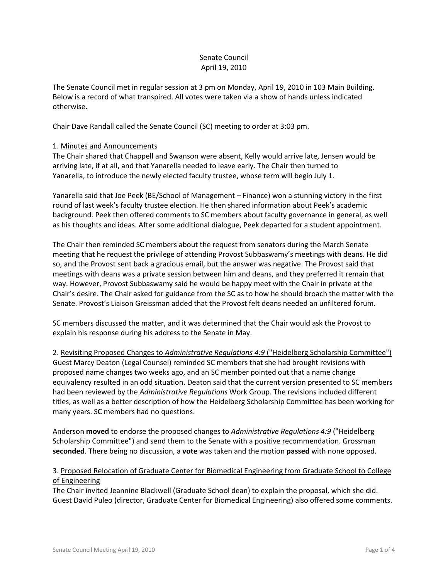# Senate Council April 19, 2010

The Senate Council met in regular session at 3 pm on Monday, April 19, 2010 in 103 Main Building. Below is a record of what transpired. All votes were taken via a show of hands unless indicated otherwise.

Chair Dave Randall called the Senate Council (SC) meeting to order at 3:03 pm.

## 1. Minutes and Announcements

The Chair shared that Chappell and Swanson were absent, Kelly would arrive late, Jensen would be arriving late, if at all, and that Yanarella needed to leave early. The Chair then turned to Yanarella, to introduce the newly elected faculty trustee, whose term will begin July 1.

Yanarella said that Joe Peek (BE/School of Management – Finance) won a stunning victory in the first round of last week's faculty trustee election. He then shared information about Peek's academic background. Peek then offered comments to SC members about faculty governance in general, as well as his thoughts and ideas. After some additional dialogue, Peek departed for a student appointment.

The Chair then reminded SC members about the request from senators during the March Senate meeting that he request the privilege of attending Provost Subbaswamy's meetings with deans. He did so, and the Provost sent back a gracious email, but the answer was negative. The Provost said that meetings with deans was a private session between him and deans, and they preferred it remain that way. However, Provost Subbaswamy said he would be happy meet with the Chair in private at the Chair's desire. The Chair asked for guidance from the SC as to how he should broach the matter with the Senate. Provost's Liaison Greissman added that the Provost felt deans needed an unfiltered forum.

SC members discussed the matter, and it was determined that the Chair would ask the Provost to explain his response during his address to the Senate in May.

2. Revisiting Proposed Changes to *Administrative Regulations 4:9* ("Heidelberg Scholarship Committee") Guest Marcy Deaton (Legal Counsel) reminded SC members that she had brought revisions with proposed name changes two weeks ago, and an SC member pointed out that a name change equivalency resulted in an odd situation. Deaton said that the current version presented to SC members had been reviewed by the *Administrative Regulations* Work Group. The revisions included different titles, as well as a better description of how the Heidelberg Scholarship Committee has been working for many years. SC members had no questions.

Anderson **moved** to endorse the proposed changes to *Administrative Regulations 4:9* ("Heidelberg Scholarship Committee") and send them to the Senate with a positive recommendation. Grossman **seconded**. There being no discussion, a **vote** was taken and the motion **passed** with none opposed.

## 3. Proposed Relocation of Graduate Center for Biomedical Engineering from Graduate School to College of Engineering

The Chair invited Jeannine Blackwell (Graduate School dean) to explain the proposal, which she did. Guest David Puleo (director, Graduate Center for Biomedical Engineering) also offered some comments.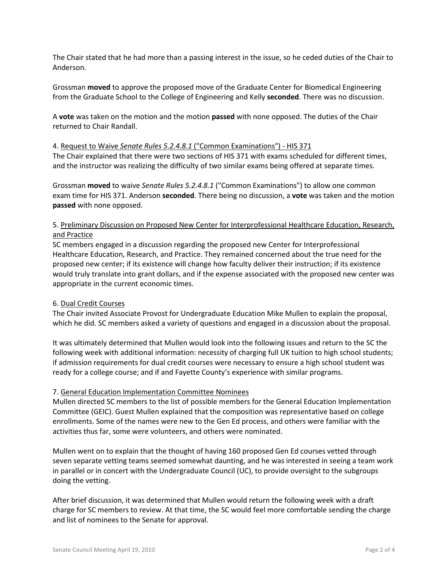The Chair stated that he had more than a passing interest in the issue, so he ceded duties of the Chair to Anderson.

Grossman **moved** to approve the proposed move of the Graduate Center for Biomedical Engineering from the Graduate School to the College of Engineering and Kelly **seconded**. There was no discussion.

A **vote** was taken on the motion and the motion **passed** with none opposed. The duties of the Chair returned to Chair Randall.

#### 4. Request to Waive *Senate Rules 5.2.4.8.1* ("Common Examinations") - HIS 371

The Chair explained that there were two sections of HIS 371 with exams scheduled for different times, and the instructor was realizing the difficulty of two similar exams being offered at separate times.

Grossman **moved** to waive *Senate Rules 5.2.4.8.1* ("Common Examinations") to allow one common exam time for HIS 371. Anderson **seconded**. There being no discussion, a **vote** was taken and the motion **passed** with none opposed.

# 5. Preliminary Discussion on Proposed New Center for Interprofessional Healthcare Education, Research, and Practice

SC members engaged in a discussion regarding the proposed new Center for Interprofessional Healthcare Education, Research, and Practice. They remained concerned about the true need for the proposed new center; if its existence will change how faculty deliver their instruction; if its existence would truly translate into grant dollars, and if the expense associated with the proposed new center was appropriate in the current economic times.

## 6. Dual Credit Courses

The Chair invited Associate Provost for Undergraduate Education Mike Mullen to explain the proposal, which he did. SC members asked a variety of questions and engaged in a discussion about the proposal.

It was ultimately determined that Mullen would look into the following issues and return to the SC the following week with additional information: necessity of charging full UK tuition to high school students; if admission requirements for dual credit courses were necessary to ensure a high school student was ready for a college course; and if and Fayette County's experience with similar programs.

## 7. General Education Implementation Committee Nominees

Mullen directed SC members to the list of possible members for the General Education Implementation Committee (GEIC). Guest Mullen explained that the composition was representative based on college enrollments. Some of the names were new to the Gen Ed process, and others were familiar with the activities thus far, some were volunteers, and others were nominated.

Mullen went on to explain that the thought of having 160 proposed Gen Ed courses vetted through seven separate vetting teams seemed somewhat daunting, and he was interested in seeing a team work in parallel or in concert with the Undergraduate Council (UC), to provide oversight to the subgroups doing the vetting.

After brief discussion, it was determined that Mullen would return the following week with a draft charge for SC members to review. At that time, the SC would feel more comfortable sending the charge and list of nominees to the Senate for approval.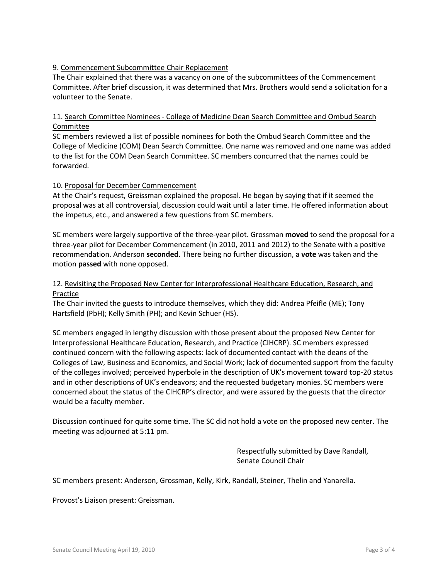## 9. Commencement Subcommittee Chair Replacement

The Chair explained that there was a vacancy on one of the subcommittees of the Commencement Committee. After brief discussion, it was determined that Mrs. Brothers would send a solicitation for a volunteer to the Senate.

11. Search Committee Nominees - College of Medicine Dean Search Committee and Ombud Search Committee

SC members reviewed a list of possible nominees for both the Ombud Search Committee and the College of Medicine (COM) Dean Search Committee. One name was removed and one name was added to the list for the COM Dean Search Committee. SC members concurred that the names could be forwarded.

#### 10. Proposal for December Commencement

At the Chair's request, Greissman explained the proposal. He began by saying that if it seemed the proposal was at all controversial, discussion could wait until a later time. He offered information about the impetus, etc., and answered a few questions from SC members.

SC members were largely supportive of the three-year pilot. Grossman **moved** to send the proposal for a three-year pilot for December Commencement (in 2010, 2011 and 2012) to the Senate with a positive recommendation. Anderson **seconded**. There being no further discussion, a **vote** was taken and the motion **passed** with none opposed.

#### 12. Revisiting the Proposed New Center for Interprofessional Healthcare Education, Research, and Practice

The Chair invited the guests to introduce themselves, which they did: Andrea Pfeifle (ME); Tony Hartsfield (PbH); Kelly Smith (PH); and Kevin Schuer (HS).

SC members engaged in lengthy discussion with those present about the proposed New Center for Interprofessional Healthcare Education, Research, and Practice (CIHCRP). SC members expressed continued concern with the following aspects: lack of documented contact with the deans of the Colleges of Law, Business and Economics, and Social Work; lack of documented support from the faculty of the colleges involved; perceived hyperbole in the description of UK's movement toward top-20 status and in other descriptions of UK's endeavors; and the requested budgetary monies. SC members were concerned about the status of the CIHCRP's director, and were assured by the guests that the director would be a faculty member.

Discussion continued for quite some time. The SC did not hold a vote on the proposed new center. The meeting was adjourned at 5:11 pm.

> Respectfully submitted by Dave Randall, Senate Council Chair

SC members present: Anderson, Grossman, Kelly, Kirk, Randall, Steiner, Thelin and Yanarella.

Provost's Liaison present: Greissman.